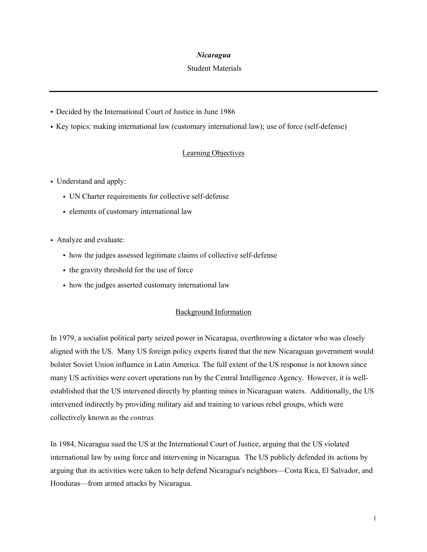## *Nicaragua*

## Student Materials

- ! Decided by the International Court of Justice in June 1986
- ! Key topics: making international law (customary international law); use of force (self-defense)

# Learning Objectives

- Understand and apply:
	- ! UN Charter requirements for collective self-defense
	- elements of customary international law
- ! Analyze and evaluate:
	- ! how the judges assessed legitimate claims of collective self-defense
	- the gravity threshold for the use of force
	- ! how the judges asserted customary international law

## Background Information

In 1979, a socialist political party seized power in Nicaragua, overthrowing a dictator who was closely aligned with the US. Many US foreign policy experts feared that the new Nicaraguan government would bolster Soviet Union influence in Latin America. The full extent of the US response is not known since many US activities were covert operations run by the Central Intelligence Agency. However, it is wellestablished that the US intervened directly by planting mines in Nicaraguan waters. Additionally, the US intervened indirectly by providing military aid and training to various rebel groups, which were collectively known as the *contras*.

In 1984, Nicaragua sued the US at the International Court of Justice, arguing that the US violated international law by using force and intervening in Nicaragua. The US publicly defended its actions by arguing that its activities were taken to help defend Nicaragua's neighbors—Costa Rica, El Salvador, and Honduras—from armed attacks by Nicaragua.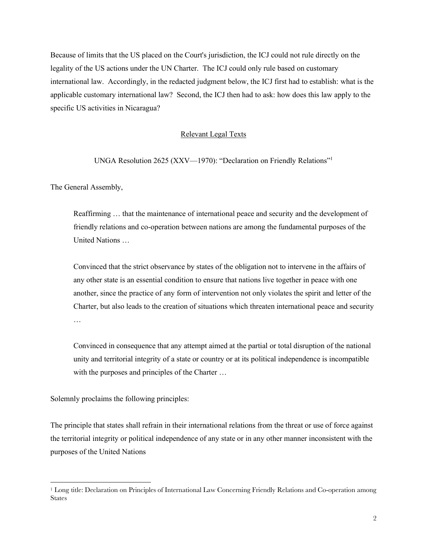Because of limits that the US placed on the Court's jurisdiction, the ICJ could not rule directly on the legality of the US actions under the UN Charter. The ICJ could only rule based on customary international law. Accordingly, in the redacted judgment below, the ICJ first had to establish: what is the applicable customary international law? Second, the ICJ then had to ask: how does this law apply to the specific US activities in Nicaragua?

#### Relevant Legal Texts

UNGA Resolution 2625 (XXV—1970): "Declaration on Friendly Relations"1

The General Assembly,

Reaffirming … that the maintenance of international peace and security and the development of friendly relations and co-operation between nations are among the fundamental purposes of the United Nations …

Convinced that the strict observance by states of the obligation not to intervene in the affairs of any other state is an essential condition to ensure that nations live together in peace with one another, since the practice of any form of intervention not only violates the spirit and letter of the Charter, but also leads to the creation of situations which threaten international peace and security …

Convinced in consequence that any attempt aimed at the partial or total disruption of the national unity and territorial integrity of a state or country or at its political independence is incompatible with the purposes and principles of the Charter ...

Solemnly proclaims the following principles:

The principle that states shall refrain in their international relations from the threat or use of force against the territorial integrity or political independence of any state or in any other manner inconsistent with the purposes of the United Nations

<sup>1</sup> Long title: Declaration on Principles of International Law Concerning Friendly Relations and Co-operation among **States**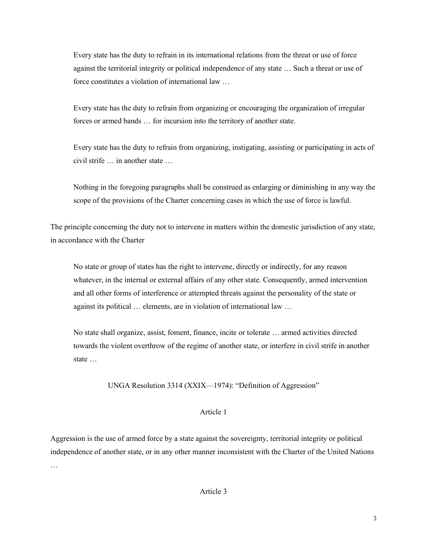Every state has the duty to refrain in its international relations from the threat or use of force against the territorial integrity or political independence of any state … Such a threat or use of force constitutes a violation of international law …

Every state has the duty to refrain from organizing or encouraging the organization of irregular forces or armed bands … for incursion into the territory of another state.

Every state has the duty to refrain from organizing, instigating, assisting or participating in acts of civil strife … in another state …

Nothing in the foregoing paragraphs shall be construed as enlarging or diminishing in any way the scope of the provisions of the Charter concerning cases in which the use of force is lawful.

The principle concerning the duty not to intervene in matters within the domestic jurisdiction of any state, in accordance with the Charter

No state or group of states has the right to intervene, directly or indirectly, for any reason whatever, in the internal or external affairs of any other state. Consequently, armed intervention and all other forms of interference or attempted threats against the personality of the state or against its political … elements, are in violation of international law …

No state shall organize, assist, foment, finance, incite or tolerate … armed activities directed towards the violent overthrow of the regime of another state, or interfere in civil strife in another state …

UNGA Resolution 3314 (XXIX—1974): "Definition of Aggression"

# Article 1

Aggression is the use of armed force by a state against the sovereignty, territorial integrity or political independence of another state, or in any other manner inconsistent with the Charter of the United Nations …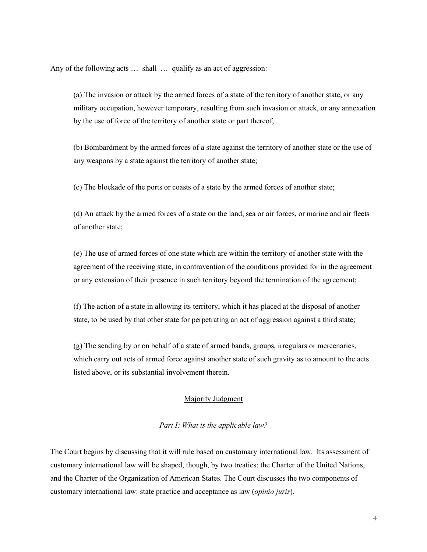Any of the following acts ... shall ... qualify as an act of aggression:

(a) The invasion or attack by the armed forces of a state of the territory of another state, or any military occupation, however temporary, resulting from such invasion or attack, or any annexation by the use of force of the territory of another state or part thereof,

(b) Bombardment by the armed forces of a state against the territory of another state or the use of any weapons by a state against the territory of another state;

(c) The blockade of the ports or coasts of a state by the armed forces of another state;

(d) An attack by the armed forces of a state on the land, sea or air forces, or marine and air fleets of another state;

(e) The use of armed forces of one state which are within the territory of another state with the agreement of the receiving state, in contravention of the conditions provided for in the agreement or any extension of their presence in such territory beyond the termination of the agreement;

(f) The action of a state in allowing its territory, which it has placed at the disposal of another state, to be used by that other state for perpetrating an act of aggression against a third state;

(g) The sending by or on behalf of a state of armed bands, groups, irregulars or mercenaries, which carry out acts of armed force against another state of such gravity as to amount to the acts listed above, or its substantial involvement therein.

# Majority Judgment

# *Part I: What is the applicable law?*

The Court begins by discussing that it will rule based on customary international law. Its assessment of customary international law will be shaped, though, by two treaties: the Charter of the United Nations, and the Charter of the Organization of American States. The Court discusses the two components of customary international law: state practice and acceptance as law (*opinio juris*).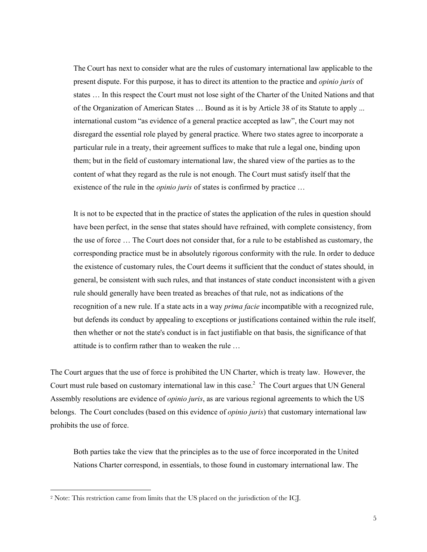The Court has next to consider what are the rules of customary international law applicable to the present dispute. For this purpose, it has to direct its attention to the practice and *opinio juris* of states … In this respect the Court must not lose sight of the Charter of the United Nations and that of the Organization of American States … Bound as it is by Article 38 of its Statute to apply ... international custom "as evidence of a general practice accepted as law", the Court may not disregard the essential role played by general practice. Where two states agree to incorporate a particular rule in a treaty, their agreement suffices to make that rule a legal one, binding upon them; but in the field of customary international law, the shared view of the parties as to the content of what they regard as the rule is not enough. The Court must satisfy itself that the existence of the rule in the *opinio juris* of states is confirmed by practice …

It is not to be expected that in the practice of states the application of the rules in question should have been perfect, in the sense that states should have refrained, with complete consistency, from the use of force … The Court does not consider that, for a rule to be established as customary, the corresponding practice must be in absolutely rigorous conformity with the rule. In order to deduce the existence of customary rules, the Court deems it sufficient that the conduct of states should, in general, be consistent with such rules, and that instances of state conduct inconsistent with a given rule should generally have been treated as breaches of that rule, not as indications of the recognition of a new rule. If a state acts in a way *prima facie* incompatible with a recognized rule, but defends its conduct by appealing to exceptions or justifications contained within the rule itself, then whether or not the state's conduct is in fact justifiable on that basis, the significance of that attitude is to confirm rather than to weaken the rule …

The Court argues that the use of force is prohibited the UN Charter, which is treaty law. However, the Court must rule based on customary international law in this case.<sup>2</sup> The Court argues that UN General Assembly resolutions are evidence of *opinio juris*, as are various regional agreements to which the US belongs. The Court concludes (based on this evidence of *opinio juris*) that customary international law prohibits the use of force.

Both parties take the view that the principles as to the use of force incorporated in the United Nations Charter correspond, in essentials, to those found in customary international law. The

<sup>2</sup> Note: This restriction came from limits that the US placed on the jurisdiction of the ICJ.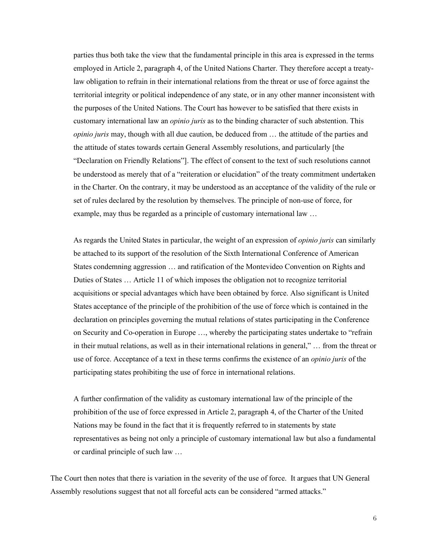parties thus both take the view that the fundamental principle in this area is expressed in the terms employed in Article 2, paragraph 4, of the United Nations Charter. They therefore accept a treatylaw obligation to refrain in their international relations from the threat or use of force against the territorial integrity or political independence of any state, or in any other manner inconsistent with the purposes of the United Nations. The Court has however to be satisfied that there exists in customary international law an *opinio juris* as to the binding character of such abstention. This *opinio juris* may, though with all due caution, be deduced from … the attitude of the parties and the attitude of states towards certain General Assembly resolutions, and particularly [the "Declaration on Friendly Relations"]. The effect of consent to the text of such resolutions cannot be understood as merely that of a "reiteration or elucidation" of the treaty commitment undertaken in the Charter. On the contrary, it may be understood as an acceptance of the validity of the rule or set of rules declared by the resolution by themselves. The principle of non-use of force, for example, may thus be regarded as a principle of customary international law …

As regards the United States in particular, the weight of an expression of *opinio juris* can similarly be attached to its support of the resolution of the Sixth International Conference of American States condemning aggression … and ratification of the Montevideo Convention on Rights and Duties of States … Article 11 of which imposes the obligation not to recognize territorial acquisitions or special advantages which have been obtained by force. Also significant is United States acceptance of the principle of the prohibition of the use of force which is contained in the declaration on principles governing the mutual relations of states participating in the Conference on Security and Co-operation in Europe …, whereby the participating states undertake to "refrain in their mutual relations, as well as in their international relations in general," … from the threat or use of force. Acceptance of a text in these terms confirms the existence of an *opinio juris* of the participating states prohibiting the use of force in international relations.

A further confirmation of the validity as customary international law of the principle of the prohibition of the use of force expressed in Article 2, paragraph 4, of the Charter of the United Nations may be found in the fact that it is frequently referred to in statements by state representatives as being not only a principle of customary international law but also a fundamental or cardinal principle of such law …

The Court then notes that there is variation in the severity of the use of force. It argues that UN General Assembly resolutions suggest that not all forceful acts can be considered "armed attacks."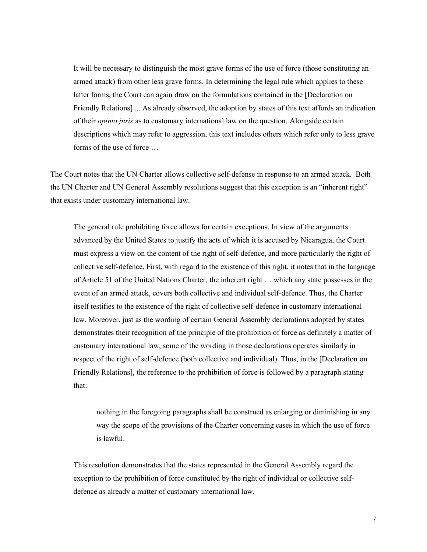It will be necessary to distinguish the most grave forms of the use of force (those constituting an armed attack) from other less grave forms. In determining the legal rule which applies to these latter forms, the Court can again draw on the formulations contained in the [Declaration on Friendly Relations] ... As already observed, the adoption by states of this text affords an indication of their *opinio juris* as to customary international law on the question. Alongside certain descriptions which may refer to aggression, this text includes others which refer only to less grave forms of the use of force …

The Court notes that the UN Charter allows collective self-defense in response to an armed attack. Both the UN Charter and UN General Assembly resolutions suggest that this exception is an "inherent right" that exists under customary international law.

The general rule prohibiting force allows for certain exceptions. In view of the arguments advanced by the United States to justify the acts of which it is accused by Nicaragua, the Court must express a view on the content of the right of self-defence, and more particularly the right of collective self-defence. First, with regard to the existence of this right, it notes that in the language of Article 51 of the United Nations Charter, the inherent right … which any state possesses in the event of an armed attack, covers both collective and individual self-defence. Thus, the Charter itself testifies to the existence of the right of collective self-defence in customary international law. Moreover, just as the wording of certain General Assembly declarations adopted by states demonstrates their recognition of the principle of the prohibition of force as definitely a matter of customary international law, some of the wording in those declarations operates similarly in respect of the right of self-defence (both collective and individual). Thus, in the [Declaration on Friendly Relations], the reference to the prohibition of force is followed by a paragraph stating that:

nothing in the foregoing paragraphs shall be construed as enlarging or diminishing in any way the scope of the provisions of the Charter concerning cases in which the use of force is lawful.

This resolution demonstrates that the states represented in the General Assembly regard the exception to the prohibition of force constituted by the right of individual or collective selfdefence as already a matter of customary international law.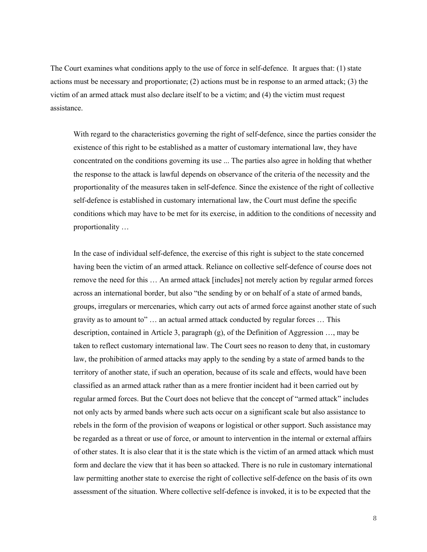The Court examines what conditions apply to the use of force in self-defence. It argues that: (1) state actions must be necessary and proportionate; (2) actions must be in response to an armed attack; (3) the victim of an armed attack must also declare itself to be a victim; and (4) the victim must request assistance.

With regard to the characteristics governing the right of self-defence, since the parties consider the existence of this right to be established as a matter of customary international law, they have concentrated on the conditions governing its use ... The parties also agree in holding that whether the response to the attack is lawful depends on observance of the criteria of the necessity and the proportionality of the measures taken in self-defence. Since the existence of the right of collective self-defence is established in customary international law, the Court must define the specific conditions which may have to be met for its exercise, in addition to the conditions of necessity and proportionality …

In the case of individual self-defence, the exercise of this right is subject to the state concerned having been the victim of an armed attack. Reliance on collective self-defence of course does not remove the need for this … An armed attack [includes] not merely action by regular armed forces across an international border, but also "the sending by or on behalf of a state of armed bands, groups, irregulars or mercenaries, which carry out acts of armed force against another state of such gravity as to amount to" … an actual armed attack conducted by regular forces … This description, contained in Article 3, paragraph (g), of the Definition of Aggression …, may be taken to reflect customary international law. The Court sees no reason to deny that, in customary law, the prohibition of armed attacks may apply to the sending by a state of armed bands to the territory of another state, if such an operation, because of its scale and effects, would have been classified as an armed attack rather than as a mere frontier incident had it been carried out by regular armed forces. But the Court does not believe that the concept of "armed attack" includes not only acts by armed bands where such acts occur on a significant scale but also assistance to rebels in the form of the provision of weapons or logistical or other support. Such assistance may be regarded as a threat or use of force, or amount to intervention in the internal or external affairs of other states. It is also clear that it is the state which is the victim of an armed attack which must form and declare the view that it has been so attacked. There is no rule in customary international law permitting another state to exercise the right of collective self-defence on the basis of its own assessment of the situation. Where collective self-defence is invoked, it is to be expected that the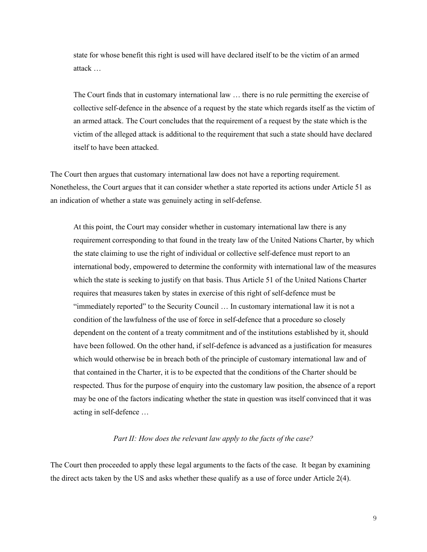state for whose benefit this right is used will have declared itself to be the victim of an armed attack …

The Court finds that in customary international law … there is no rule permitting the exercise of collective self-defence in the absence of a request by the state which regards itself as the victim of an armed attack. The Court concludes that the requirement of a request by the state which is the victim of the alleged attack is additional to the requirement that such a state should have declared itself to have been attacked.

The Court then argues that customary international law does not have a reporting requirement. Nonetheless, the Court argues that it can consider whether a state reported its actions under Article 51 as an indication of whether a state was genuinely acting in self-defense.

At this point, the Court may consider whether in customary international law there is any requirement corresponding to that found in the treaty law of the United Nations Charter, by which the state claiming to use the right of individual or collective self-defence must report to an international body, empowered to determine the conformity with international law of the measures which the state is seeking to justify on that basis. Thus Article 51 of the United Nations Charter requires that measures taken by states in exercise of this right of self-defence must be "immediately reported" to the Security Council … In customary international law it is not a condition of the lawfulness of the use of force in self-defence that a procedure so closely dependent on the content of a treaty commitment and of the institutions established by it, should have been followed. On the other hand, if self-defence is advanced as a justification for measures which would otherwise be in breach both of the principle of customary international law and of that contained in the Charter, it is to be expected that the conditions of the Charter should be respected. Thus for the purpose of enquiry into the customary law position, the absence of a report may be one of the factors indicating whether the state in question was itself convinced that it was acting in self-defence …

# *Part II: How does the relevant law apply to the facts of the case?*

The Court then proceeded to apply these legal arguments to the facts of the case. It began by examining the direct acts taken by the US and asks whether these qualify as a use of force under Article 2(4).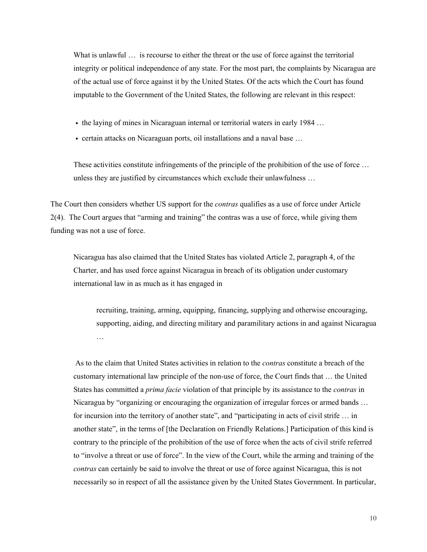What is unlawful ... is recourse to either the threat or the use of force against the territorial integrity or political independence of any state. For the most part, the complaints by Nicaragua are of the actual use of force against it by the United States. Of the acts which the Court has found imputable to the Government of the United States, the following are relevant in this respect:

- ! the laying of mines in Nicaraguan internal or territorial waters in early 1984 …
- ! certain attacks on Nicaraguan ports, oil installations and a naval base …

These activities constitute infringements of the principle of the prohibition of the use of force … unless they are justified by circumstances which exclude their unlawfulness …

The Court then considers whether US support for the *contras* qualifies as a use of force under Article 2(4). The Court argues that "arming and training" the contras was a use of force, while giving them funding was not a use of force.

Nicaragua has also claimed that the United States has violated Article 2, paragraph 4, of the Charter, and has used force against Nicaragua in breach of its obligation under customary international law in as much as it has engaged in

recruiting, training, arming, equipping, financing, supplying and otherwise encouraging, supporting, aiding, and directing military and paramilitary actions in and against Nicaragua …

As to the claim that United States activities in relation to the *contras* constitute a breach of the customary international law principle of the non-use of force, the Court finds that … the United States has committed a *prima facie* violation of that principle by its assistance to the *contras* in Nicaragua by "organizing or encouraging the organization of irregular forces or armed bands … for incursion into the territory of another state", and "participating in acts of civil strife … in another state", in the terms of [the Declaration on Friendly Relations.] Participation of this kind is contrary to the principle of the prohibition of the use of force when the acts of civil strife referred to "involve a threat or use of force". In the view of the Court, while the arming and training of the *contras* can certainly be said to involve the threat or use of force against Nicaragua, this is not necessarily so in respect of all the assistance given by the United States Government. In particular,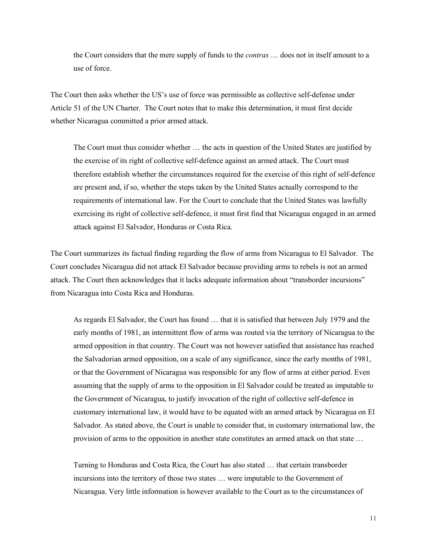the Court considers that the mere supply of funds to the *contras* … does not in itself amount to a use of force.

The Court then asks whether the US's use of force was permissible as collective self-defense under Article 51 of the UN Charter. The Court notes that to make this determination, it must first decide whether Nicaragua committed a prior armed attack.

The Court must thus consider whether … the acts in question of the United States are justified by the exercise of its right of collective self-defence against an armed attack. The Court must therefore establish whether the circumstances required for the exercise of this right of self-defence are present and, if so, whether the steps taken by the United States actually correspond to the requirements of international law. For the Court to conclude that the United States was lawfully exercising its right of collective self-defence, it must first find that Nicaragua engaged in an armed attack against El Salvador, Honduras or Costa Rica.

The Court summarizes its factual finding regarding the flow of arms from Nicaragua to El Salvador. The Court concludes Nicaragua did not attack El Salvador because providing arms to rebels is not an armed attack. The Court then acknowledges that it lacks adequate information about "transborder incursions" from Nicaragua into Costa Rica and Honduras.

As regards El Salvador, the Court has found … that it is satisfied that between July 1979 and the early months of 1981, an intermittent flow of arms was routed via the territory of Nicaragua to the armed opposition in that country. The Court was not however satisfied that assistance has reached the Salvadorian armed opposition, on a scale of any significance, since the early months of 1981, or that the Government of Nicaragua was responsible for any flow of arms at either period. Even assuming that the supply of arms to the opposition in El Salvador could be treated as imputable to the Government of Nicaragua, to justify invocation of the right of collective self-defence in customary international law, it would have to be equated with an armed attack by Nicaragua on El Salvador. As stated above, the Court is unable to consider that, in customary international law, the provision of arms to the opposition in another state constitutes an armed attack on that state …

Turning to Honduras and Costa Rica, the Court has also stated … that certain transborder incursions into the territory of those two states … were imputable to the Government of Nicaragua. Very little information is however available to the Court as to the circumstances of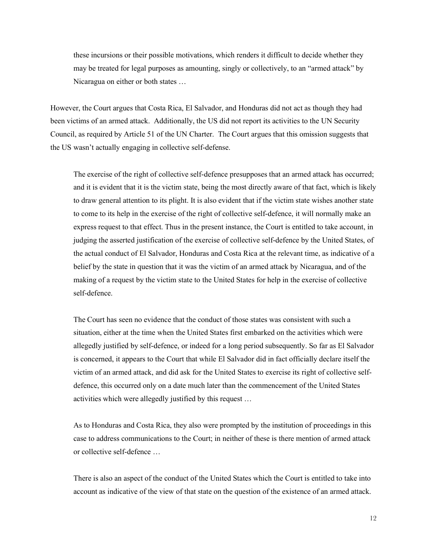these incursions or their possible motivations, which renders it difficult to decide whether they may be treated for legal purposes as amounting, singly or collectively, to an "armed attack" by Nicaragua on either or both states …

However, the Court argues that Costa Rica, El Salvador, and Honduras did not act as though they had been victims of an armed attack. Additionally, the US did not report its activities to the UN Security Council, as required by Article 51 of the UN Charter. The Court argues that this omission suggests that the US wasn't actually engaging in collective self-defense.

The exercise of the right of collective self-defence presupposes that an armed attack has occurred; and it is evident that it is the victim state, being the most directly aware of that fact, which is likely to draw general attention to its plight. It is also evident that if the victim state wishes another state to come to its help in the exercise of the right of collective self-defence, it will normally make an express request to that effect. Thus in the present instance, the Court is entitled to take account, in judging the asserted justification of the exercise of collective self-defence by the United States, of the actual conduct of El Salvador, Honduras and Costa Rica at the relevant time, as indicative of a belief by the state in question that it was the victim of an armed attack by Nicaragua, and of the making of a request by the victim state to the United States for help in the exercise of collective self-defence.

The Court has seen no evidence that the conduct of those states was consistent with such a situation, either at the time when the United States first embarked on the activities which were allegedly justified by self-defence, or indeed for a long period subsequently. So far as El Salvador is concerned, it appears to the Court that while El Salvador did in fact officially declare itself the victim of an armed attack, and did ask for the United States to exercise its right of collective selfdefence, this occurred only on a date much later than the commencement of the United States activities which were allegedly justified by this request …

As to Honduras and Costa Rica, they also were prompted by the institution of proceedings in this case to address communications to the Court; in neither of these is there mention of armed attack or collective self-defence …

There is also an aspect of the conduct of the United States which the Court is entitled to take into account as indicative of the view of that state on the question of the existence of an armed attack.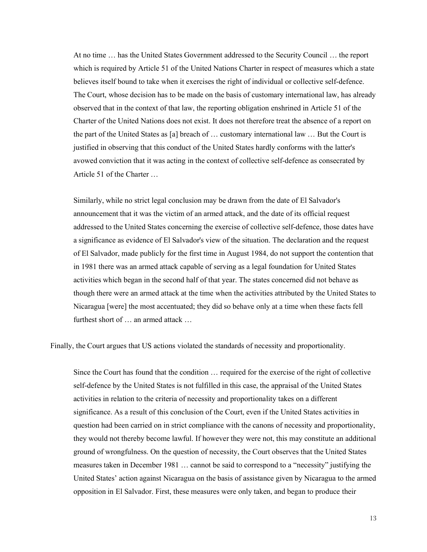At no time … has the United States Government addressed to the Security Council … the report which is required by Article 51 of the United Nations Charter in respect of measures which a state believes itself bound to take when it exercises the right of individual or collective self-defence. The Court, whose decision has to be made on the basis of customary international law, has already observed that in the context of that law, the reporting obligation enshrined in Article 51 of the Charter of the United Nations does not exist. It does not therefore treat the absence of a report on the part of the United States as [a] breach of … customary international law … But the Court is justified in observing that this conduct of the United States hardly conforms with the latter's avowed conviction that it was acting in the context of collective self-defence as consecrated by Article 51 of the Charter …

Similarly, while no strict legal conclusion may be drawn from the date of El Salvador's announcement that it was the victim of an armed attack, and the date of its official request addressed to the United States concerning the exercise of collective self-defence, those dates have a significance as evidence of El Salvador's view of the situation. The declaration and the request of El Salvador, made publicly for the first time in August 1984, do not support the contention that in 1981 there was an armed attack capable of serving as a legal foundation for United States activities which began in the second half of that year. The states concerned did not behave as though there were an armed attack at the time when the activities attributed by the United States to Nicaragua [were] the most accentuated; they did so behave only at a time when these facts fell furthest short of … an armed attack …

Finally, the Court argues that US actions violated the standards of necessity and proportionality.

Since the Court has found that the condition … required for the exercise of the right of collective self-defence by the United States is not fulfilled in this case, the appraisal of the United States activities in relation to the criteria of necessity and proportionality takes on a different significance. As a result of this conclusion of the Court, even if the United States activities in question had been carried on in strict compliance with the canons of necessity and proportionality, they would not thereby become lawful. If however they were not, this may constitute an additional ground of wrongfulness. On the question of necessity, the Court observes that the United States measures taken in December 1981 … cannot be said to correspond to a "necessity" justifying the United States' action against Nicaragua on the basis of assistance given by Nicaragua to the armed opposition in El Salvador. First, these measures were only taken, and began to produce their